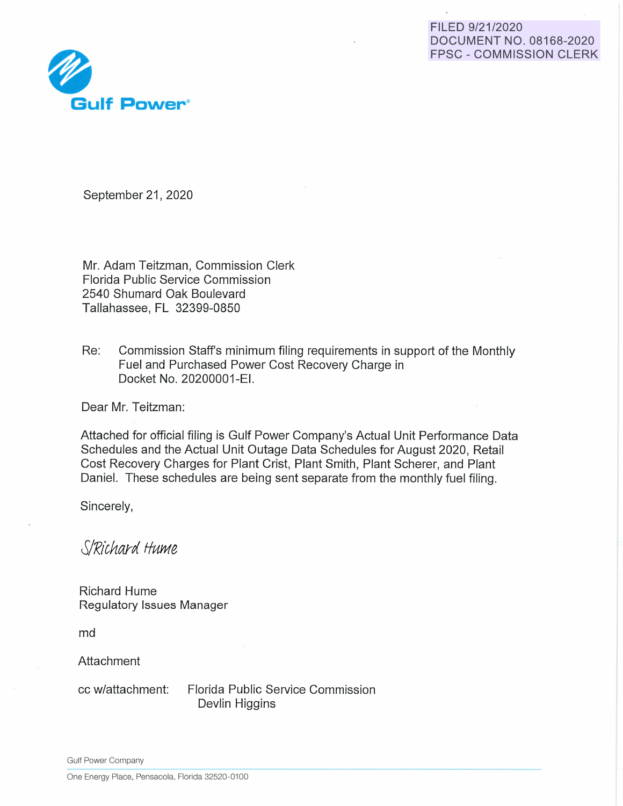## FILED 9/21/2020 **DOCUMENT NO. 08168-2020 FPSC - COMMISSION CLERK**



September 21, 2020

Mr. Adam Teitzman, Commission Clerk Florida Public Service Commission 2540 Shumard Oak Boulevard Tallahassee, FL 32399-0850

Re: Commission Staff's minimum filing requirements in support of the Monthly Fuel and Purchased Power Cost Recovery Charge in Docket No. 20200001-EI.

Dear Mr. Teitzman:

Attached for official filing is Gulf Power Company's Actual Unit Performance Data Schedules and the Actual Unit Outage Data Schedules for August 2020, Retail Cost Recovery Charges for Plant Crist, Plant Smith, Plant Scherer, and Plant Daniel. These schedules are being sent separate from the monthly fuel filing.

Sincerely,

S/Richard Hume

**Richard Hume** Regulatory Issues Manager

md

Attachment

cc w/attachment:

Florida Public Service Commission Devlin Higgins

**Gulf Power Company** 

One Energy Place, Pensacola, Florida 32520-0100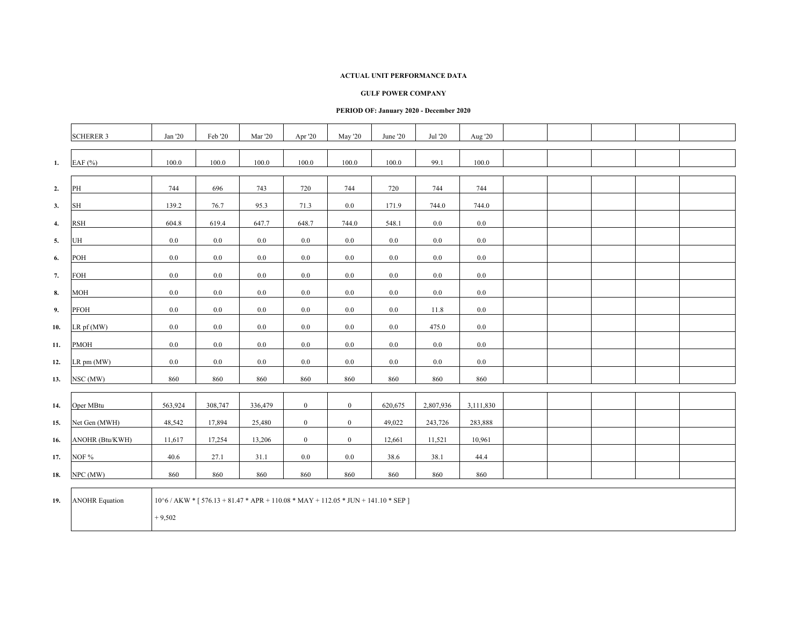### **GULF POWER COMPANY**

|                    | <b>SCHERER 3</b>      | Jan '20  | Feb '20 | <b>Mar</b> '20 | Apr '20        | May '20                                                                                       | June '20  | Jul '20   | Aug '20   |  |  |  |
|--------------------|-----------------------|----------|---------|----------------|----------------|-----------------------------------------------------------------------------------------------|-----------|-----------|-----------|--|--|--|
| 1.                 | EAF (%)               | 100.0    | 100.0   | 100.0          | 100.0          | 100.0                                                                                         | $100.0\,$ | 99.1      | 100.0     |  |  |  |
| 2.                 | PH                    | 744      | 696     | 743            | 720            | 744                                                                                           | 720       | 744       | 744       |  |  |  |
| 3.                 | <b>SH</b>             | 139.2    | 76.7    | 95.3           | 71.3           | 0.0                                                                                           | 171.9     | 744.0     | 744.0     |  |  |  |
| $\boldsymbol{4}$ . | <b>RSH</b>            | 604.8    | 619.4   | 647.7          | 648.7          | 744.0                                                                                         | 548.1     | $0.0\,$   | 0.0       |  |  |  |
| 5.                 | UH                    | $0.0\,$  | $0.0\,$ | 0.0            | $0.0\,$        | $0.0\,$                                                                                       | $0.0\,$   | $0.0\,$   | 0.0       |  |  |  |
| 6.                 | POH                   | 0.0      | $0.0\,$ | 0.0            | $0.0\,$        | $0.0\,$                                                                                       | $0.0\,$   | $0.0\,$   | $0.0\,$   |  |  |  |
| 7.                 | FOH                   | $0.0\,$  | $0.0\,$ | 0.0            | 0.0            | 0.0                                                                                           | $0.0\,$   | $0.0\,$   | $0.0\,$   |  |  |  |
| 8.                 | <b>MOH</b>            | 0.0      | $0.0\,$ | 0.0            | $0.0\,$        | 0.0                                                                                           | $0.0\,$   | $0.0\,$   | 0.0       |  |  |  |
| 9.                 | PFOH                  | $0.0\,$  | $0.0\,$ | 0.0            | $0.0\,$        | $0.0\,$                                                                                       | $0.0\,$   | 11.8      | $0.0\,$   |  |  |  |
| 10.                | LR pf (MW)            | 0.0      | $0.0\,$ | 0.0            | $0.0\,$        | $0.0\,$                                                                                       | 0.0       | 475.0     | 0.0       |  |  |  |
| 11.                | <b>PMOH</b>           | $0.0\,$  | 0.0     | 0.0            | $0.0\,$        | 0.0                                                                                           | $0.0\,$   | $0.0\,$   | 0.0       |  |  |  |
| 12.                | LR pm (MW)            | 0.0      | $0.0\,$ | 0.0            | $0.0\,$        | $0.0\,$                                                                                       | $0.0\,$   | $0.0\,$   | 0.0       |  |  |  |
| 13.                | NSC (MW)              | 860      | 860     | 860            | 860            | 860                                                                                           | 860       | 860       | 860       |  |  |  |
| 14.                | Oper MBtu             | 563,924  | 308,747 | 336,479        | $\overline{0}$ | $\boldsymbol{0}$                                                                              | 620,675   | 2,807,936 | 3,111,830 |  |  |  |
| 15.                | Net Gen (MWH)         | 48,542   | 17,894  | 25,480         | $\mathbf{0}$   | $\boldsymbol{0}$                                                                              | 49,022    | 243,726   | 283,888   |  |  |  |
| 16.                | ANOHR (Btu/KWH)       | 11,617   | 17,254  | 13,206         | $\overline{0}$ | $\mathbf{0}$                                                                                  | 12,661    | 11,521    | 10,961    |  |  |  |
| 17.                | NOF %                 | 40.6     | 27.1    | 31.1           | 0.0            | $0.0\,$                                                                                       | 38.6      | 38.1      | 44.4      |  |  |  |
| 18.                | NPC (MW)              | 860      | 860     | 860            | 860            | 860                                                                                           | 860       | 860       | 860       |  |  |  |
| 19.                | <b>ANOHR Equation</b> | $+9,502$ |         |                |                | $10^{6}/$ AKW * [ $576.13 + 81.47$ * APR + $110.08$ * MAY + $112.05$ * JUN + $141.10$ * SEP ] |           |           |           |  |  |  |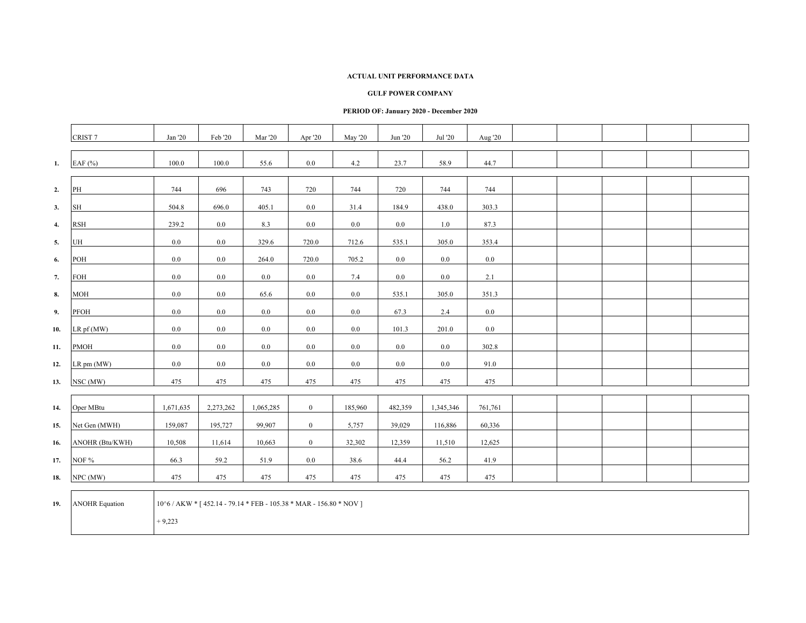#### **GULF POWER COMPANY**

|     | CRIST <sub>7</sub>    | Jan '20   | Feb '20                                                            | Mar '20   | Apr '20          | May '20 | Jun '20 | Jul '20   | Aug '20 |  |  |  |
|-----|-----------------------|-----------|--------------------------------------------------------------------|-----------|------------------|---------|---------|-----------|---------|--|--|--|
| 1.  | EAF $(%)$             | 100.0     | 100.0                                                              | 55.6      | $0.0\,$          | 4.2     | 23.7    | 58.9      | 44.7    |  |  |  |
| 2.  | PH                    | 744       | 696                                                                | 743       | 720              | 744     | 720     | 744       | 744     |  |  |  |
| 3.  | SH                    | 504.8     | 696.0                                                              | 405.1     | 0.0              | 31.4    | 184.9   | 438.0     | 303.3   |  |  |  |
| 4.  | <b>RSH</b>            | 239.2     | $0.0\,$                                                            | 8.3       | $0.0\,$          | $0.0\,$ | $0.0\,$ | 1.0       | 87.3    |  |  |  |
| 5.  | UH                    | 0.0       | 0.0                                                                | 329.6     | 720.0            | 712.6   | 535.1   | 305.0     | 353.4   |  |  |  |
| 6.  | POH                   | 0.0       | $0.0\,$                                                            | 264.0     | 720.0            | 705.2   | 0.0     | $0.0\,$   | $0.0\,$ |  |  |  |
| 7.  | FOH                   | $0.0\,$   | 0.0                                                                | $0.0\,$   | $0.0\,$          | 7.4     | $0.0\,$ | 0.0       | 2.1     |  |  |  |
| 8.  | <b>MOH</b>            | 0.0       | $0.0\,$                                                            | 65.6      | 0.0              | 0.0     | 535.1   | 305.0     | 351.3   |  |  |  |
| 9.  | PFOH                  | 0.0       | 0.0                                                                | $0.0\,$   | $0.0\,$          | $0.0\,$ | 67.3    | 2.4       | $0.0\,$ |  |  |  |
| 10. | LR pf (MW)            | 0.0       | $0.0\,$                                                            | $0.0\,$   | $0.0\,$          | $0.0\,$ | 101.3   | 201.0     | $0.0\,$ |  |  |  |
| 11. | <b>PMOH</b>           | 0.0       | $0.0\,$                                                            | $0.0\,$   | $0.0\,$          | $0.0\,$ | $0.0\,$ | $0.0\,$   | 302.8   |  |  |  |
| 12. | $LR$ pm $(MW)$        | 0.0       | $0.0\,$                                                            | 0.0       | 0.0              | $0.0\,$ | $0.0\,$ | 0.0       | 91.0    |  |  |  |
| 13. | NSC (MW)              | 475       | 475                                                                | 475       | 475              | 475     | 475     | 475       | 475     |  |  |  |
| 14. | Oper MBtu             | 1,671,635 | 2,273,262                                                          | 1,065,285 | $\boldsymbol{0}$ | 185,960 | 482,359 | 1,345,346 | 761,761 |  |  |  |
| 15. | Net Gen (MWH)         | 159,087   | 195,727                                                            | 99,907    | $\boldsymbol{0}$ | 5,757   | 39,029  | 116,886   | 60,336  |  |  |  |
| 16. | ANOHR (Btu/KWH)       | 10,508    | 11,614                                                             | 10,663    | $\boldsymbol{0}$ | 32,302  | 12,359  | 11,510    | 12,625  |  |  |  |
| 17. | NOF %                 | 66.3      | 59.2                                                               | 51.9      | 0.0              | 38.6    | 44.4    | 56.2      | 41.9    |  |  |  |
| 18. | NPC (MW)              | 475       | 475                                                                | 475       | 475              | 475     | 475     | 475       | 475     |  |  |  |
| 19. | <b>ANOHR Equation</b> | $+9,223$  | 10^6 / AKW * [452.14 - 79.14 * FEB - 105.38 * MAR - 156.80 * NOV ] |           |                  |         |         |           |         |  |  |  |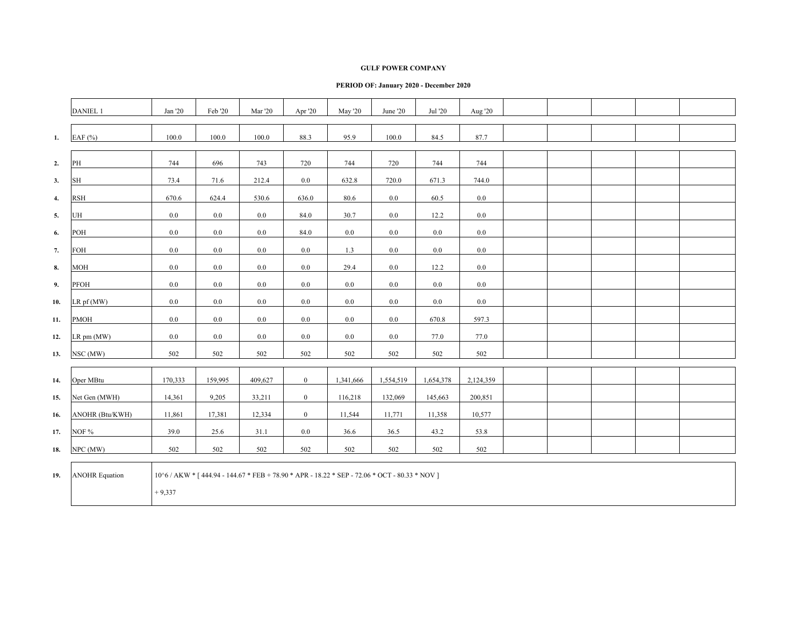### **GULF POWER COMPANY**

|              | DANIEL 1              | Jan '20  | Feb '20 | <b>Mar</b> '20 | Apr '20        | <b>May '20</b> | June '20                                                                                      | Jul '20   | Aug '20   |  |  |  |
|--------------|-----------------------|----------|---------|----------------|----------------|----------------|-----------------------------------------------------------------------------------------------|-----------|-----------|--|--|--|
|              |                       |          |         |                |                |                |                                                                                               |           |           |  |  |  |
| 1.           | EAF $(%)$             | 100.0    | 100.0   | 100.0          | 88.3           | 95.9           | 100.0                                                                                         | 84.5      | 87.7      |  |  |  |
|              |                       |          |         |                |                |                |                                                                                               |           |           |  |  |  |
| 2.           | PH                    | 744      | 696     | 743            | 720            | 744            | 720                                                                                           | 744       | 744       |  |  |  |
| 3.           | <b>SH</b>             | 73.4     | 71.6    | 212.4          | 0.0            | 632.8          | 720.0                                                                                         | 671.3     | 744.0     |  |  |  |
| $\mathbf{4}$ | <b>RSH</b>            | 670.6    | 624.4   | 530.6          | 636.0          | 80.6           | $0.0\,$                                                                                       | 60.5      | 0.0       |  |  |  |
| 5.           | UH                    | $0.0\,$  | $0.0\,$ | 0.0            | 84.0           | 30.7           | $0.0\,$                                                                                       | 12.2      | 0.0       |  |  |  |
| 6.           | POH                   | 0.0      | $0.0\,$ | 0.0            | 84.0           | $0.0\,$        | 0.0                                                                                           | $0.0\,$   | 0.0       |  |  |  |
| 7.           | FOH                   | $0.0\,$  | 0.0     | 0.0            | $0.0\,$        | 1.3            | 0.0                                                                                           | $0.0\,$   | 0.0       |  |  |  |
| 8.           | <b>MOH</b>            | 0.0      | 0.0     | 0.0            | 0.0            | 29.4           | 0.0                                                                                           | 12.2      | 0.0       |  |  |  |
| 9.           | PFOH                  | 0.0      | 0.0     | 0.0            | 0.0            | 0.0            | 0.0                                                                                           | 0.0       | 0.0       |  |  |  |
| 10.          | LR pf (MW)            | 0.0      | 0.0     | 0.0            | 0.0            | 0.0            | 0.0                                                                                           | $0.0\,$   | 0.0       |  |  |  |
| 11.          | PMOH                  | 0.0      | 0.0     | 0.0            | 0.0            | 0.0            | 0.0                                                                                           | 670.8     | 597.3     |  |  |  |
| 12.          | LR pm (MW)            | 0.0      | $0.0\,$ | 0.0            | $0.0\,$        | $0.0\,$        | $0.0\,$                                                                                       | 77.0      | 77.0      |  |  |  |
| 13.          | NSC (MW)              | 502      | 502     | 502            | 502            | 502            | 502                                                                                           | 502       | 502       |  |  |  |
|              |                       |          |         |                |                |                |                                                                                               |           |           |  |  |  |
| 14.          | Oper MBtu             | 170,333  | 159,995 | 409,627        | $\overline{0}$ | 1,341,666      | 1,554,519                                                                                     | 1,654,378 | 2,124,359 |  |  |  |
| 15.          | Net Gen (MWH)         | 14,361   | 9,205   | 33,211         | $\overline{0}$ | 116,218        | 132,069                                                                                       | 145,663   | 200,851   |  |  |  |
| 16.          | ANOHR (Btu/KWH)       | 11,861   | 17,381  | 12,334         | $\mathbf{0}$   | 11,544         | 11,771                                                                                        | 11,358    | 10,577    |  |  |  |
| 17.          | NOF %                 | 39.0     | 25.6    | 31.1           | $0.0\,$        | 36.6           | 36.5                                                                                          | 43.2      | 53.8      |  |  |  |
| 18.          | NPC (MW)              | 502      | 502     | 502            | 502            | 502            | 502                                                                                           | 502       | 502       |  |  |  |
| 19.          | <b>ANOHR Equation</b> | $+9,337$ |         |                |                |                | 10^6 / AKW * [444.94 - 144.67 * FEB + 78.90 * APR - 18.22 * SEP - 72.06 * OCT - 80.33 * NOV ] |           |           |  |  |  |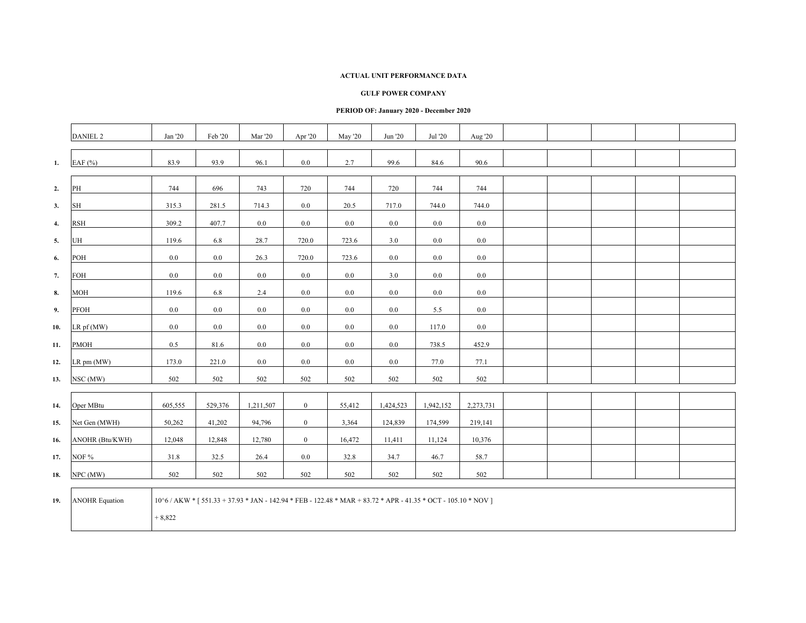### **GULF POWER COMPANY**

|                    | <b>DANIEL 2</b>       | Jan '20                                                                                                                    | Feb '20 | Mar '20   | Apr '20        | May '20 | Jun '20   | Jul '20   | Aug '20   |  |  |  |
|--------------------|-----------------------|----------------------------------------------------------------------------------------------------------------------------|---------|-----------|----------------|---------|-----------|-----------|-----------|--|--|--|
| 1.                 | EAF (%)               | 83.9                                                                                                                       | 93.9    | 96.1      | $0.0\,$        | 2.7     | 99.6      | 84.6      | 90.6      |  |  |  |
| 2.                 | PH                    | 744                                                                                                                        | 696     | 743       | 720            | 744     | 720       | 744       | 744       |  |  |  |
| 3.                 | SH                    | 315.3                                                                                                                      | 281.5   | 714.3     | 0.0            | 20.5    | 717.0     | 744.0     | 744.0     |  |  |  |
| $\boldsymbol{4}$ . | <b>RSH</b>            | 309.2                                                                                                                      | 407.7   | 0.0       | 0.0            | 0.0     | 0.0       | $0.0\,$   | 0.0       |  |  |  |
| 5.                 | UH                    | 119.6                                                                                                                      | 6.8     | 28.7      | 720.0          | 723.6   | 3.0       | $0.0\,$   | 0.0       |  |  |  |
| 6.                 | POH                   | $0.0\,$                                                                                                                    | 0.0     | 26.3      | 720.0          | 723.6   | $0.0\,$   | $0.0\,$   | 0.0       |  |  |  |
| 7.                 | FOH                   | 0.0                                                                                                                        | 0.0     | 0.0       | 0.0            | 0.0     | 3.0       | $0.0\,$   | 0.0       |  |  |  |
| 8.                 | <b>MOH</b>            | 119.6                                                                                                                      | 6.8     | 2.4       | 0.0            | $0.0\,$ | 0.0       | $0.0\,$   | 0.0       |  |  |  |
| 9.                 | PFOH                  | 0.0                                                                                                                        | 0.0     | 0.0       | 0.0            | 0.0     | 0.0       | 5.5       | $0.0\,$   |  |  |  |
| 10.                | $LR$ pf (MW)          | 0.0                                                                                                                        | 0.0     | 0.0       | 0.0            | $0.0\,$ | 0.0       | 117.0     | 0.0       |  |  |  |
| 11.                | <b>PMOH</b>           | 0.5                                                                                                                        | 81.6    | 0.0       | 0.0            | 0.0     | $0.0\,$   | 738.5     | 452.9     |  |  |  |
| 12.                | $LR$ pm $(MW)$        | 173.0                                                                                                                      | 221.0   | 0.0       | $0.0\,$        | $0.0\,$ | 0.0       | 77.0      | 77.1      |  |  |  |
| 13.                | NSC (MW)              | 502                                                                                                                        | 502     | 502       | 502            | 502     | 502       | 502       | 502       |  |  |  |
| 14.                | Oper MBtu             | 605,555                                                                                                                    | 529,376 | 1,211,507 | $\mathbf{0}$   | 55,412  | 1,424,523 | 1,942,152 | 2,273,731 |  |  |  |
| 15.                | Net Gen (MWH)         | 50,262                                                                                                                     | 41,202  | 94,796    | $\mathbf{0}$   | 3,364   | 124,839   | 174,599   | 219,141   |  |  |  |
| 16.                | ANOHR (Btu/KWH)       | 12,048                                                                                                                     | 12,848  | 12,780    | $\overline{0}$ | 16,472  | 11,411    | 11,124    | 10,376    |  |  |  |
| 17.                | NOF %                 | 31.8                                                                                                                       | 32.5    | 26.4      | 0.0            | 32.8    | 34.7      | 46.7      | 58.7      |  |  |  |
| 18.                | NPC (MW)              | 502                                                                                                                        | 502     | 502       | 502            | 502     | 502       | 502       | 502       |  |  |  |
| 19.                | <b>ANOHR Equation</b> | 10^6 / AKW * [ 551.33 + 37.93 * JAN - 142.94 * FEB - 122.48 * MAR + 83.72 * APR - 41.35 * OCT - 105.10 * NOV ]<br>$+8,822$ |         |           |                |         |           |           |           |  |  |  |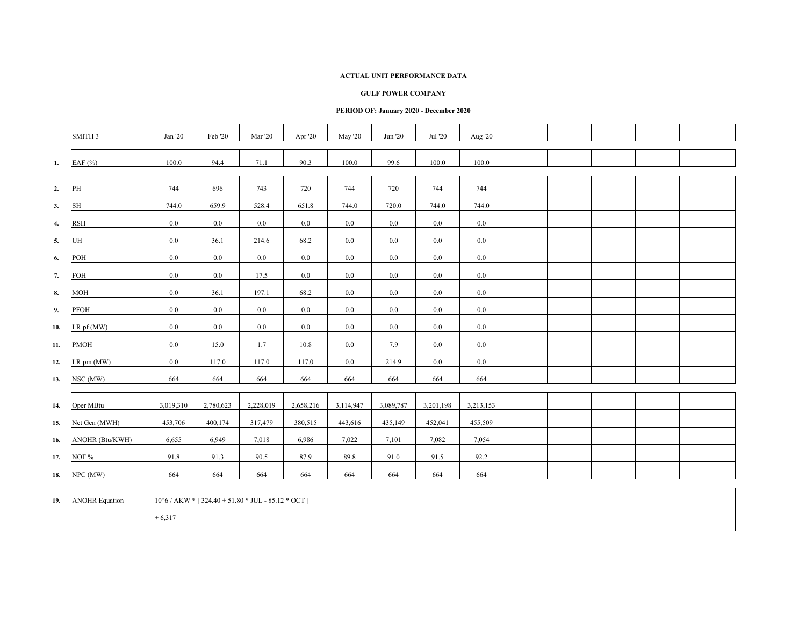### **GULF POWER COMPANY**

### **PERIOD OF: January 2020 - December 2020**

|              | SMITH 3             | Jan '20   | Feb '20   | Mar '20   | Apr '20   | May '20   | Jun '20   | Jul '20   | Aug '20   |  |  |  |
|--------------|---------------------|-----------|-----------|-----------|-----------|-----------|-----------|-----------|-----------|--|--|--|
|              |                     |           |           |           |           |           |           |           |           |  |  |  |
| 1.           | EAF $(%)$           | 100.0     | 94.4      | 71.1      | 90.3      | 100.0     | 99.6      | 100.0     | 100.0     |  |  |  |
|              |                     |           |           |           |           |           |           |           |           |  |  |  |
| 2.           | PH                  | 744       | 696       | 743       | 720       | 744       | 720       | 744       | 744       |  |  |  |
| 3.           | $\operatorname{SH}$ | 744.0     | 659.9     | 528.4     | 651.8     | 744.0     | 720.0     | 744.0     | 744.0     |  |  |  |
| $\mathbf{4}$ | <b>RSH</b>          | 0.0       | $0.0\,$   | 0.0       | $0.0\,$   | 0.0       | 0.0       | $0.0\,$   | 0.0       |  |  |  |
| 5.           | UH                  | 0.0       | 36.1      | 214.6     | 68.2      | $0.0\,$   | 0.0       | $0.0\,$   | 0.0       |  |  |  |
| 6.           | POH                 | 0.0       | $0.0\,$   | 0.0       | $0.0\,$   | $0.0\,$   | $0.0\,$   | $0.0\,$   | 0.0       |  |  |  |
| 7.           | FOH                 | 0.0       | $0.0\,$   | 17.5      | 0.0       | $0.0\,$   | $0.0\,$   | $0.0\,$   | 0.0       |  |  |  |
| 8.           | <b>MOH</b>          | $0.0\,$   | 36.1      | 197.1     | 68.2      | $0.0\,$   | 0.0       | $0.0\,$   | 0.0       |  |  |  |
| 9.           | PFOH                | $0.0\,$   | $0.0\,$   | 0.0       | 0.0       | $0.0\,$   | $0.0\,$   | 0.0       | 0.0       |  |  |  |
| 10.          | LR pf (MW)          | $0.0\,$   | $0.0\,$   | 0.0       | $0.0\,$   | $0.0\,$   | $0.0\,$   | $0.0\,$   | 0.0       |  |  |  |
| 11.          | PMOH                | $0.0\,$   | 15.0      | 1.7       | 10.8      | $0.0\,$   | 7.9       | $0.0\,$   | $0.0\,$   |  |  |  |
| 12.          | LR pm (MW)          | 0.0       | 117.0     | 117.0     | 117.0     | $0.0\,$   | 214.9     | $0.0\,$   | $0.0\,$   |  |  |  |
| 13.          | NSC (MW)            | 664       | 664       | 664       | 664       | 664       | 664       | 664       | 664       |  |  |  |
|              |                     |           |           |           |           |           |           |           |           |  |  |  |
| 14.          | Oper MBtu           | 3,019,310 | 2,780,623 | 2,228,019 | 2,658,216 | 3,114,947 | 3,089,787 | 3,201,198 | 3,213,153 |  |  |  |
| 15.          | Net Gen (MWH)       | 453,706   | 400,174   | 317,479   | 380,515   | 443,616   | 435,149   | 452,041   | 455,509   |  |  |  |
| 16.          | ANOHR (Btu/KWH)     | 6,655     | 6,949     | 7,018     | 6,986     | 7,022     | 7,101     | 7,082     | 7,054     |  |  |  |
| 17.          | NOF %               | 91.8      | 91.3      | 90.5      | 87.9      | 89.8      | 91.0      | 91.5      | 92.2      |  |  |  |
| 18.          | NPC (MW)            | 664       | 664       | 664       | 664       | 664       | 664       | 664       | 664       |  |  |  |
|              |                     |           |           |           |           |           |           |           |           |  |  |  |

19. ANOHR Equation  $10^6$  / AKW \* [ 324.40 + 51.80 \* JUL - 85.12 \* OCT ]

 $+ 6,317$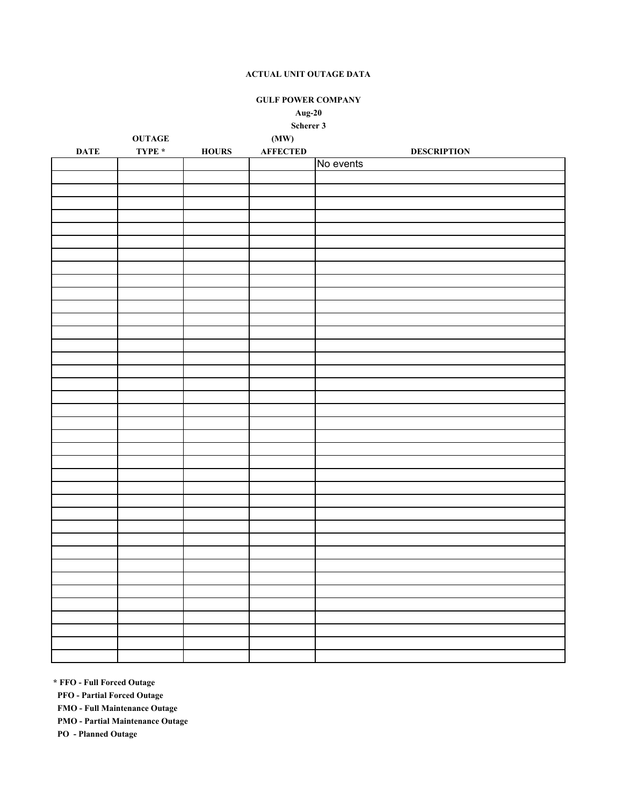**GULF POWER COMPANY**

# **Aug-20**

**Scherer 3**

|             | <b>OUTAGE</b> |              | (MW)            |                    |
|-------------|---------------|--------------|-----------------|--------------------|
| <b>DATE</b> | TYPE *        | <b>HOURS</b> | <b>AFFECTED</b> | <b>DESCRIPTION</b> |
|             |               |              |                 | No events          |
|             |               |              |                 |                    |
|             |               |              |                 |                    |
|             |               |              |                 |                    |
|             |               |              |                 |                    |
|             |               |              |                 |                    |
|             |               |              |                 |                    |
|             |               |              |                 |                    |
|             |               |              |                 |                    |
|             |               |              |                 |                    |
|             |               |              |                 |                    |
|             |               |              |                 |                    |
|             |               |              |                 |                    |
|             |               |              |                 |                    |
|             |               |              |                 |                    |
|             |               |              |                 |                    |
|             |               |              |                 |                    |
|             |               |              |                 |                    |
|             |               |              |                 |                    |
|             |               |              |                 |                    |
|             |               |              |                 |                    |
|             |               |              |                 |                    |
|             |               |              |                 |                    |
|             |               |              |                 |                    |
|             |               |              |                 |                    |
|             |               |              |                 |                    |
|             |               |              |                 |                    |
|             |               |              |                 |                    |
|             |               |              |                 |                    |
|             |               |              |                 |                    |
|             |               |              |                 |                    |
|             |               |              |                 |                    |
|             |               |              |                 |                    |
|             |               |              |                 |                    |
|             |               |              |                 |                    |
|             |               |              |                 |                    |
|             |               |              |                 |                    |
|             |               |              |                 |                    |
|             |               |              |                 |                    |
|             |               |              |                 |                    |

**\* FFO - Full Forced Outage**

 **PFO - Partial Forced Outage**

 **FMO - Full Maintenance Outage**

 **PMO - Partial Maintenance Outage**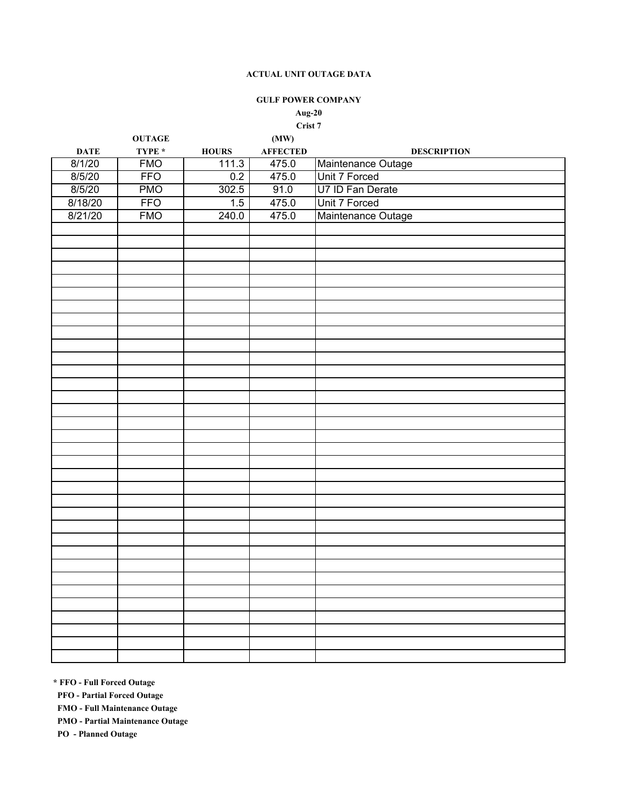### **GULF POWER COMPANY**

### **Aug-20 Crist 7**

|             | <b>OUTAGE</b> |               | (MW)            |                    |
|-------------|---------------|---------------|-----------------|--------------------|
| <b>DATE</b> | TYPE $^\star$ | ${\bf HOLRS}$ | <b>AFFECTED</b> | <b>DESCRIPTION</b> |
| 8/1/20      | <b>FMO</b>    | 111.3         | 475.0           | Maintenance Outage |
| 8/5/20      | <b>FFO</b>    | 0.2           | 475.0           | Unit 7 Forced      |
| 8/5/20      | <b>PMO</b>    | 302.5         | 91.0            | U7 ID Fan Derate   |
| 8/18/20     | <b>FFO</b>    | 1.5           | 475.0           | Unit 7 Forced      |
| 8/21/20     | <b>FMO</b>    | 240.0         | 475.0           | Maintenance Outage |
|             |               |               |                 |                    |
|             |               |               |                 |                    |
|             |               |               |                 |                    |
|             |               |               |                 |                    |
|             |               |               |                 |                    |
|             |               |               |                 |                    |
|             |               |               |                 |                    |
|             |               |               |                 |                    |
|             |               |               |                 |                    |
|             |               |               |                 |                    |
|             |               |               |                 |                    |
|             |               |               |                 |                    |
|             |               |               |                 |                    |
|             |               |               |                 |                    |
|             |               |               |                 |                    |
|             |               |               |                 |                    |
|             |               |               |                 |                    |
|             |               |               |                 |                    |
|             |               |               |                 |                    |
|             |               |               |                 |                    |
|             |               |               |                 |                    |
|             |               |               |                 |                    |
|             |               |               |                 |                    |
|             |               |               |                 |                    |
|             |               |               |                 |                    |
|             |               |               |                 |                    |
|             |               |               |                 |                    |
|             |               |               |                 |                    |
|             |               |               |                 |                    |
|             |               |               |                 |                    |
|             |               |               |                 |                    |
|             |               |               |                 |                    |
|             |               |               |                 |                    |
|             |               |               |                 |                    |

**\* FFO - Full Forced Outage**

 **PFO - Partial Forced Outage**

 **FMO - Full Maintenance Outage**

 **PMO - Partial Maintenance Outage**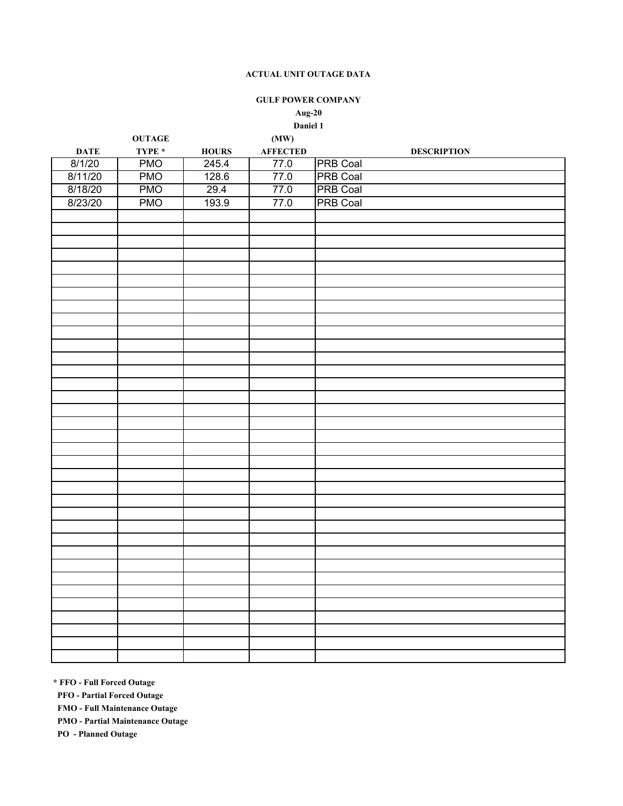### **GULF POWER COMPANY**

# **Aug-20**

# **Daniel 1**

|             | <b>OUTAGE</b> |              | (MW)     |                    |
|-------------|---------------|--------------|----------|--------------------|
| <b>DATE</b> | TYPE $^\star$ | <b>HOURS</b> | AFFECTED | <b>DESCRIPTION</b> |
| 8/1/20      | <b>PMO</b>    | 245.4        | 77.0     | <b>PRB Coal</b>    |
| 8/11/20     | <b>PMO</b>    | 128.6        | 77.0     | <b>PRB Coal</b>    |
| 8/18/20     | <b>PMO</b>    | 29.4         | 77.0     | <b>PRB Coal</b>    |
| 8/23/20     | <b>PMO</b>    | 193.9        | 77.0     | <b>PRB Coal</b>    |
|             |               |              |          |                    |
|             |               |              |          |                    |
|             |               |              |          |                    |
|             |               |              |          |                    |
|             |               |              |          |                    |
|             |               |              |          |                    |
|             |               |              |          |                    |
|             |               |              |          |                    |
|             |               |              |          |                    |
|             |               |              |          |                    |
|             |               |              |          |                    |
|             |               |              |          |                    |
|             |               |              |          |                    |
|             |               |              |          |                    |
|             |               |              |          |                    |
|             |               |              |          |                    |
|             |               |              |          |                    |
|             |               |              |          |                    |
|             |               |              |          |                    |
|             |               |              |          |                    |
|             |               |              |          |                    |
|             |               |              |          |                    |
|             |               |              |          |                    |
|             |               |              |          |                    |
|             |               |              |          |                    |
|             |               |              |          |                    |
|             |               |              |          |                    |
|             |               |              |          |                    |
|             |               |              |          |                    |
|             |               |              |          |                    |
|             |               |              |          |                    |
|             |               |              |          |                    |
|             |               |              |          |                    |
|             |               |              |          |                    |
|             |               |              |          |                    |
|             |               |              |          |                    |

**\* FFO - Full Forced Outage**

 **PFO - Partial Forced Outage**

 **FMO - Full Maintenance Outage**

 **PMO - Partial Maintenance Outage**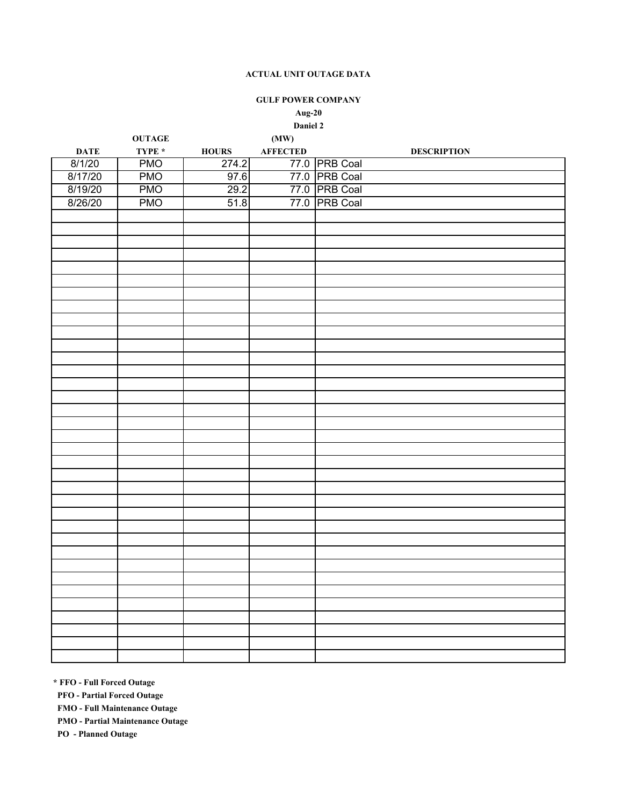## **GULF POWER COMPANY**

## **Aug-20 Daniel 2**

|             | <b>OUTAGE</b> |                     | (MW)             |                    |
|-------------|---------------|---------------------|------------------|--------------------|
| <b>DATE</b> | TYPE $*$      | <b>HOURS</b>        | ${\bf AFFECTED}$ | <b>DESCRIPTION</b> |
| 8/1/20      | <b>PMO</b>    | 274.2               |                  | 77.0 PRB Coal      |
| 8/17/20     | <b>PMO</b>    |                     |                  | 77.0 PRB Coal      |
| 8/19/20     | <b>PMO</b>    | $\frac{97.6}{29.2}$ |                  | 77.0 PRB Coal      |
| 8/26/20     | <b>PMO</b>    | 51.8                |                  | 77.0 PRB Coal      |
|             |               |                     |                  |                    |
|             |               |                     |                  |                    |
|             |               |                     |                  |                    |
|             |               |                     |                  |                    |
|             |               |                     |                  |                    |
|             |               |                     |                  |                    |
|             |               |                     |                  |                    |
|             |               |                     |                  |                    |
|             |               |                     |                  |                    |
|             |               |                     |                  |                    |
|             |               |                     |                  |                    |
|             |               |                     |                  |                    |
|             |               |                     |                  |                    |
|             |               |                     |                  |                    |
|             |               |                     |                  |                    |
|             |               |                     |                  |                    |
|             |               |                     |                  |                    |
|             |               |                     |                  |                    |
|             |               |                     |                  |                    |
|             |               |                     |                  |                    |
|             |               |                     |                  |                    |
|             |               |                     |                  |                    |
|             |               |                     |                  |                    |
|             |               |                     |                  |                    |
|             |               |                     |                  |                    |
|             |               |                     |                  |                    |
|             |               |                     |                  |                    |
|             |               |                     |                  |                    |
|             |               |                     |                  |                    |
|             |               |                     |                  |                    |
|             |               |                     |                  |                    |
|             |               |                     |                  |                    |
|             |               |                     |                  |                    |
|             |               |                     |                  |                    |
|             |               |                     |                  |                    |

**\* FFO - Full Forced Outage**

 **PFO - Partial Forced Outage**

 **FMO - Full Maintenance Outage**

 **PMO - Partial Maintenance Outage**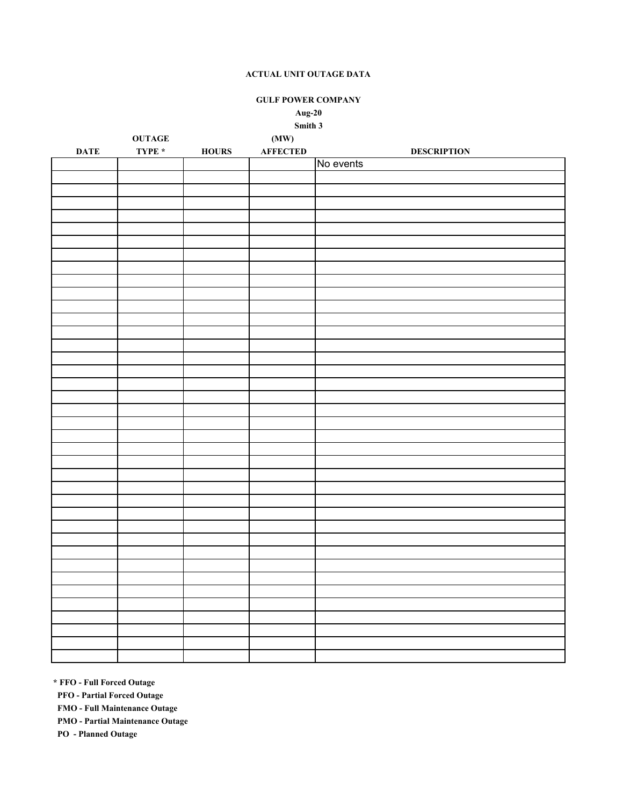**GULF POWER COMPANY**

# **Aug-20**

**Smith 3**

|                 | $\mathbf{OUTAGE}$ |                                           | (MW)             |                    |
|-----------------|-------------------|-------------------------------------------|------------------|--------------------|
| $\mathbf{DATE}$ | TYPE $^\star$     | ${\bf H} {\bf O} {\bf U} {\bf R} {\bf S}$ | ${\bf AFFECTED}$ | <b>DESCRIPTION</b> |
|                 |                   |                                           |                  | No events          |
|                 |                   |                                           |                  |                    |
|                 |                   |                                           |                  |                    |
|                 |                   |                                           |                  |                    |
|                 |                   |                                           |                  |                    |
|                 |                   |                                           |                  |                    |
|                 |                   |                                           |                  |                    |
|                 |                   |                                           |                  |                    |
|                 |                   |                                           |                  |                    |
|                 |                   |                                           |                  |                    |
|                 |                   |                                           |                  |                    |
|                 |                   |                                           |                  |                    |
|                 |                   |                                           |                  |                    |
|                 |                   |                                           |                  |                    |
|                 |                   |                                           |                  |                    |
|                 |                   |                                           |                  |                    |
|                 |                   |                                           |                  |                    |
|                 |                   |                                           |                  |                    |
|                 |                   |                                           |                  |                    |
|                 |                   |                                           |                  |                    |
|                 |                   |                                           |                  |                    |
|                 |                   |                                           |                  |                    |
|                 |                   |                                           |                  |                    |
|                 |                   |                                           |                  |                    |
|                 |                   |                                           |                  |                    |
|                 |                   |                                           |                  |                    |
|                 |                   |                                           |                  |                    |
|                 |                   |                                           |                  |                    |
|                 |                   |                                           |                  |                    |
|                 |                   |                                           |                  |                    |
|                 |                   |                                           |                  |                    |
|                 |                   |                                           |                  |                    |
|                 |                   |                                           |                  |                    |
|                 |                   |                                           |                  |                    |
|                 |                   |                                           |                  |                    |
|                 |                   |                                           |                  |                    |
|                 |                   |                                           |                  |                    |
|                 |                   |                                           |                  |                    |
|                 |                   |                                           |                  |                    |

**\* FFO - Full Forced Outage**

 **PFO - Partial Forced Outage**

 **FMO - Full Maintenance Outage**

 **PMO - Partial Maintenance Outage**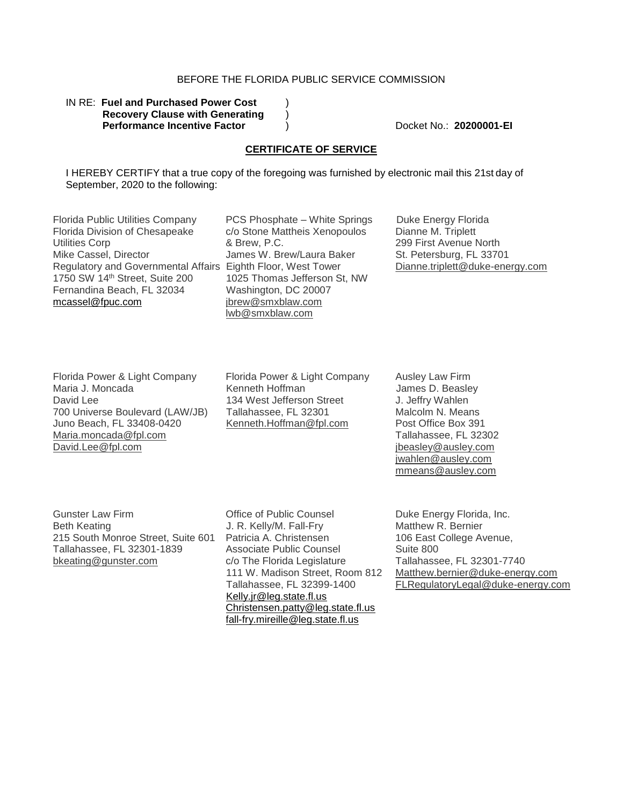## BEFORE THE FLORIDA PUBLIC SERVICE COMMISSION

### IN RE: Fuel and Purchased Power Cost **Recovery Clause with Generating** ) **Performance Incentive Factor** (a) Docket No.: **20200001-EI**

### **CERTIFICATE OF SERVICE**

I HEREBY CERTIFY that a true copy of the foregoing was furnished by electronic mail this 21st day of September, 2020 to the following:

Florida Public Utilities Company Florida Division of Chesapeake Utilities Corp Mike Cassel, Director Regulatory and Governmental Affairs Eighth Floor, West Tower 1750 SW 14th Street, Suite 200 Fernandina Beach, FL 32034 mcassel@fpuc.com

PCS Phosphate – White Springs c/o Stone Mattheis Xenopoulos & Brew, P.C. James W. Brew/Laura Baker 1025 Thomas Jefferson St, NW Washington, DC 20007 jbrew@smxblaw.com lwb@smxblaw.com

Duke Energy Florida Dianne M. Triplett 299 First Avenue North St. Petersburg, FL 33701 Dianne.triplett@duke-energy.com

Florida Power & Light Company Maria J. Moncada David Lee 700 Universe Boulevard (LAW/JB) Juno Beach, FL 33408-0420 Maria.moncada@fpl.com David.Lee@fpl.com

Florida Power & Light Company Kenneth Hoffman 134 West Jefferson Street Tallahassee, FL 32301 Kenneth.Hoffman@fpl.com

Ausley Law Firm JJames D. Beasley J. Jeffry Wahlen Malcolm N. Means Post Office Box 391 Tallahassee, FL 32302 jbeasley@ausley.com jwahlen@ausley.com mmeans@ausley.com

Gunster Law Firm Beth Keating 215 South Monroe Street, Suite 601 Tallahassee, FL 32301-1839 bkeating@gunster.com

Office of Public Counsel J. R. Kelly/M. Fall-Fry Patricia A. Christensen Associate Public Counsel c/o The Florida Legislature 111 W. Madison Street, Room 812 Tallahassee, FL 32399-1400 Kelly.jr@leg.state.fl.us Christensen.patty@leg.state.fl.us fall-fry.mireille@leg.state.fl.us

Duke Energy Florida, Inc. Matthew R. Bernier 106 East College Avenue, Suite 800 Tallahassee, FL 32301-7740 Matthew.bernier@duke-energy.com FLRegulatoryLegal@duke-energy.com